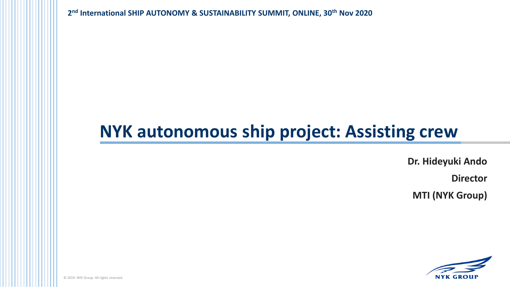**2 nd International SHIP AUTONOMY & SUSTAINABILITY SUMMIT, ONLINE, 30th Nov 2020**

# **NYK autonomous ship project: Assisting crew**

**Dr. Hideyuki Ando**

**Director**

**MTI (NYK Group)**



© 2016. NYK Group. All rights reserved. © 2019. NYK Group. All rights reserved.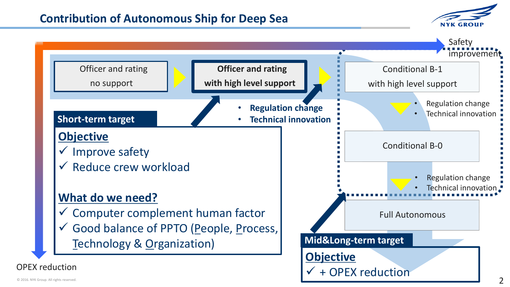## **Contribution of Autonomous Ship for Deep Sea**



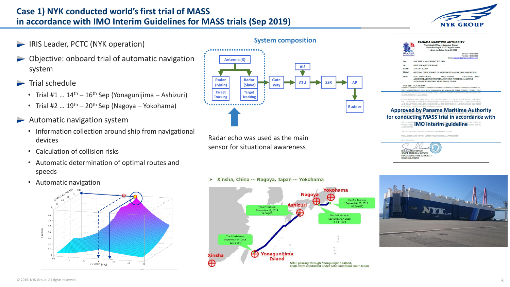### **Case 1) NYK conducted world's first trial of MASS in accordance with IMO Interim Guidelines for MASS trials (Sep 2019)**



Tel: (81) 3-3585-3661<br>Fax: (81) 3-3585-3666

CALL SIGN: 3FLB

- **IRIS Leader, PCTC (NYK operation)**
- Objective: onboard trial of automatic navigation system
- $\blacktriangleright$  Trial schedule
	- Trial #1 ...  $14<sup>th</sup> 16<sup>th</sup>$  Sep (Yonagunijima Ashizuri)
	- Trial #2 ...  $19^{th}$  20<sup>th</sup> Sep (Nagoya Yokohama)
- Automatic navigation system
	- Information collection around ship from navigational devices
	- Calculation of collision risks
	- Automatic determination of optimal routes and speeds
	- Automatic navigation





sensor for situational awareness



ENG. SAMUEL GUEVARA SENIOR TECHNICAL OFFICER PANAMA MARITIME AUTHORITY SEGUMAR - TOKYO

#### $\triangleright$  Xinsha, China ~ Nagoya, Japan ~ Yokohama

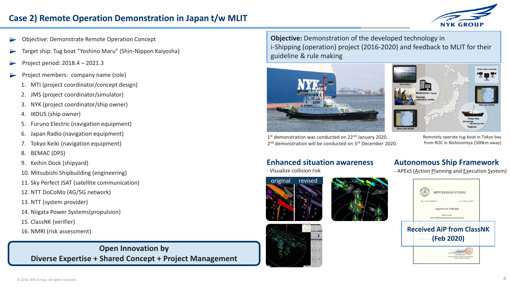## **Case 2) Remote Operation Demonstration in Japan t/w MLIT**



- Objective: Demonstrate Remote Operation Concept
- Target ship: Tug boat "Yoshino Maru" (Shin-Nippon Kaiyosha)
- Project period: 2018.4 2021.3
- Project members: company name (role)
	- 1. MTI (project coordinator/concept design)
	- 2. JMS (project coordinator/simulator)
	- 3. NYK (project coordinator/ship owner)
	- 4. IKOUS (ship owner)
	- 5. Furuno Electric (navigation equipment)
	- 6. Japan Radio (navigation equipment)
	- 7. Tokyo Keiki (navigation equipment)
	- 8. BEMAC (DPS)
	- 9. Keihin Dock (shipyard)
	- 10. Mitsubishi Shipbuilding (engineering)
	- 11. Sky Perfect JSAT (satellite communication)
	- 12. NTT DoCoMo (4G/5G network)
	- 13. NTT (system provider)
	- 14. Niigata Power Systems(propulsion)
	- 15. ClassNK (verifier)
	- 16. NMRI (risk assessment)

### **Open Innovation by Diverse Expertise + Shared Concept + Project Management**

**Objective:** Demonstration of the developed technology in i-Shipping (operation) project (2016-2020) and feedback to MLIT for their guideline & rule making





1<sup>st</sup> demonstration was conducted on 22<sup>nd</sup> January 2020. 2<sup>nd</sup> demonstration will be conducted on 3<sup>rd</sup> December 2020.

Remotely operate tug-boat in Tokyo bay from ROC in Nishinomiya (500km away)

#### **Enhanced situation awareness**

- Visualize collision risk











**Autonomous Ship Framework** - APExS (Action Planning and Execution System)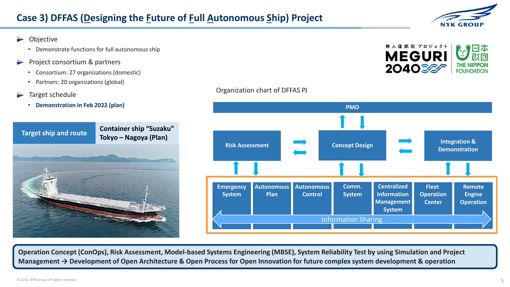- Objective
	- Demonstrate functions for full autonomous ship
- Project consortium & partners
	- Consortium: 27 organizations (domestic)
	- Partners: 20 organizations (global)
- Target schedule
	- **Demonstration in Feb 2022 (plan)**





**NYK GROUP** 

#### **Autonomous Plan Fleet Operation Center Emergency System Comm. System Integration & Risk Assessment Demonstration Concept Design Concept Design Demonstration Centralized Information Management System Autonomous Control Concept Design PMO Remote Engine Operation** Information Sharing

**Operation Concept (ConOps), Risk Assessment, Model-based Systems Engineering (MBSE), System Reliability Test by using Simulation and Project Management → Development of Open Architecture & Open Process for Open Innovation for future complex system development & operation**

Organization chart of DFFAS PJ